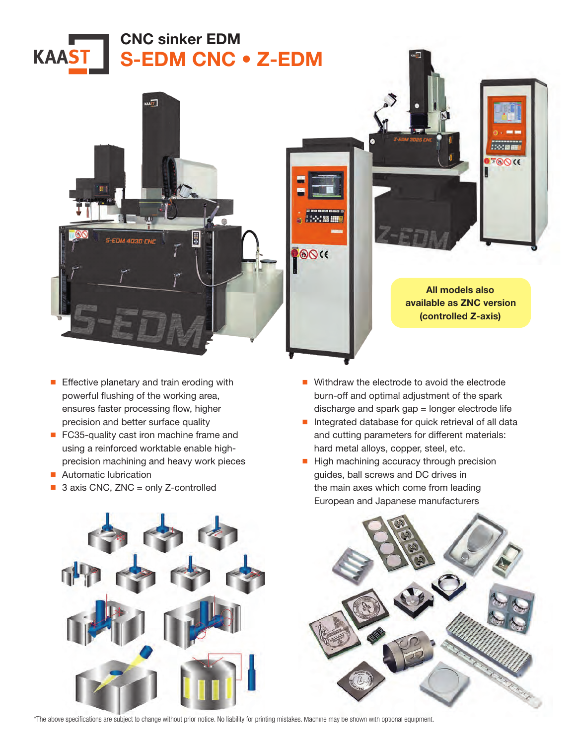

- Effective planetary and train eroding with powerful flushing of the working area, ensures faster processing flow, higher precision and better surface quality
- FC35-quality cast iron machine frame and using a reinforced worktable enable highprecision machining and heavy work pieces
- Automatic lubrication
- $\blacksquare$  3 axis CNC, ZNC = only Z-controlled
- Withdraw the electrode to avoid the electrode burn-off and optimal adjustment of the spark discharge and spark gap = longer electrode life
- Integrated database for quick retrieval of all data and cutting parameters for different materials: hard metal alloys, copper, steel, etc.
- High machining accuracy through precision guides, ball screws and DC drives in the main axes which come from leading European and Japanese manufacturers



\*The above specifications are subject to change without prior notice. No liability for printing mistakes. Machine may be shown with optional equipment.